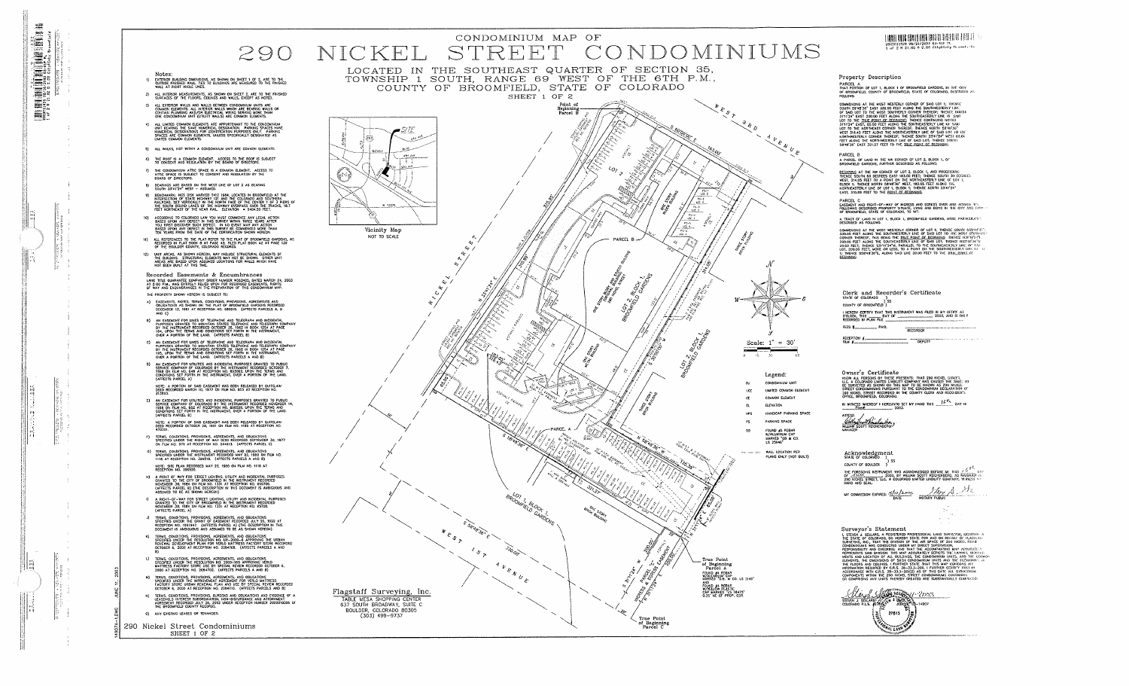